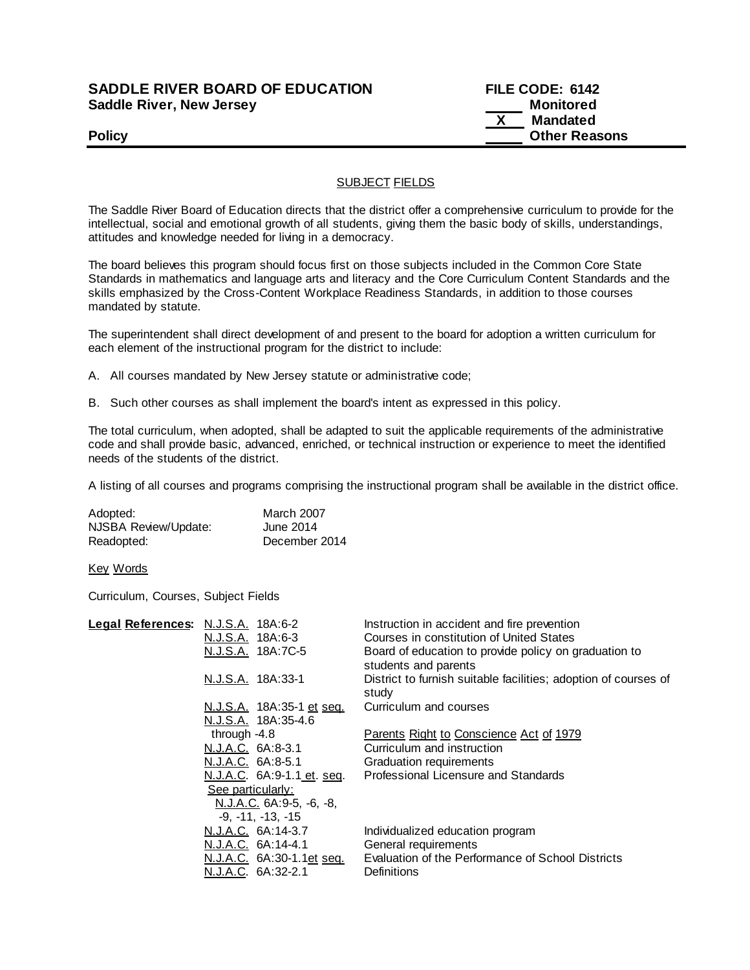## **SADDLE RIVER BOARD OF EDUCATION FILE CODE: 6142 Saddle River, New Jersey Monitored Example 2018 19 No. 2018 19:30 Monitored**

 **X Mandated Policy Policy Policy Policy Policy Other Reasons** 

### SUBJECT FIELDS

The Saddle River Board of Education directs that the district offer a comprehensive curriculum to provide for the intellectual, social and emotional growth of all students, giving them the basic body of skills, understandings, attitudes and knowledge needed for living in a democracy.

The board believes this program should focus first on those subjects included in the Common Core State Standards in mathematics and language arts and literacy and the Core Curriculum Content Standards and the skills emphasized by the Cross-Content Workplace Readiness Standards, in addition to those courses mandated by statute.

The superintendent shall direct development of and present to the board for adoption a written curriculum for each element of the instructional program for the district to include:

- A. All courses mandated by New Jersey statute or administrative code;
- B. Such other courses as shall implement the board's intent as expressed in this policy.

The total curriculum, when adopted, shall be adapted to suit the applicable requirements of the administrative code and shall provide basic, advanced, enriched, or technical instruction or experience to meet the identified needs of the students of the district.

A listing of all courses and programs comprising the instructional program shall be available in the district office.

| Adopted:             | <b>March 2007</b> |
|----------------------|-------------------|
| NJSBA Review/Update: | June 2014         |
| Readopted:           | December 2014     |

Key Words

Curriculum, Courses, Subject Fields

| Legal References: N.J.S.A. 18A:6-2                 | Instruction in accident and fire prevention                                   |
|----------------------------------------------------|-------------------------------------------------------------------------------|
| N.J.S.A. 18A:6-3                                   | Courses in constitution of United States                                      |
| N.J.S.A. 18A:7C-5                                  | Board of education to provide policy on graduation to<br>students and parents |
| N.J.S.A. 18A:33-1                                  | District to furnish suitable facilities; adoption of courses of<br>study      |
|                                                    | Curriculum and courses                                                        |
| N.J.S.A. 18A:35-4.6                                |                                                                               |
| through $-4.8$                                     | Parents Right to Conscience Act of 1979                                       |
| N.J.A.C. 6A:8-3.1                                  | Curriculum and instruction                                                    |
| N.J.A.C. 6A:8-5.1                                  | Graduation requirements                                                       |
| <u>N.J.A.C</u> . 6A:9-1.1 <u>et</u> . <u>seq</u> . | Professional Licensure and Standards                                          |
| See particularly:                                  |                                                                               |
| N.J.A.C. 6A:9-5, -6, -8,                           |                                                                               |
| $-9, -11, -13, -15$                                |                                                                               |
| N.J.A.C. 6A:14-3.7                                 | Individualized education program                                              |
| N.J.A.C. 6A:14-4.1                                 | General requirements                                                          |
| N.J.A.C. 6A:30-1.1et seq.                          | Evaluation of the Performance of School Districts                             |
| N.J.A.C. 6A:32-2.1                                 | Definitions                                                                   |
|                                                    | N.J.S.A. 18A:35-1 et seq.                                                     |